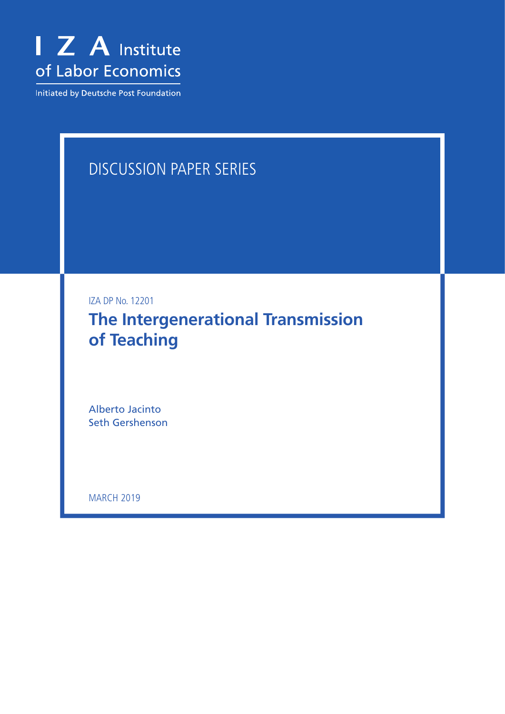

Initiated by Deutsche Post Foundation

# DISCUSSION PAPER SERIES

IZA DP No. 12201

**The Intergenerational Transmission of Teaching**

Alberto Jacinto Seth Gershenson

**MARCH 2019**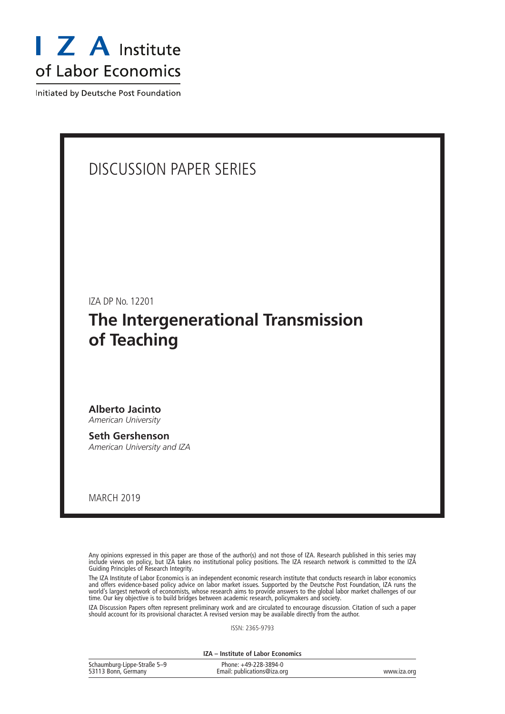

Initiated by Deutsche Post Foundation

## DISCUSSION PAPER SERIES

IZA DP No. 12201

## **The Intergenerational Transmission of Teaching**

**Alberto Jacinto** *American University*

**Seth Gershenson** *American University and IZA*

MARCH 2019

Any opinions expressed in this paper are those of the author(s) and not those of IZA. Research published in this series may include views on policy, but IZA takes no institutional policy positions. The IZA research network is committed to the IZA Guiding Principles of Research Integrity.

The IZA Institute of Labor Economics is an independent economic research institute that conducts research in labor economics and offers evidence-based policy advice on labor market issues. Supported by the Deutsche Post Foundation, IZA runs the world's largest network of economists, whose research aims to provide answers to the global labor market challenges of our time. Our key objective is to build bridges between academic research, policymakers and society.

IZA Discussion Papers often represent preliminary work and are circulated to encourage discussion. Citation of such a paper should account for its provisional character. A revised version may be available directly from the author.

ISSN: 2365-9793

**IZA – Institute of Labor Economics**

| Schaumburg-Lippe-Straße 5-9 | Phone: +49-228-3894-0       |             |
|-----------------------------|-----------------------------|-------------|
| 53113 Bonn, Germany         | Email: publications@iza.org | www.iza.org |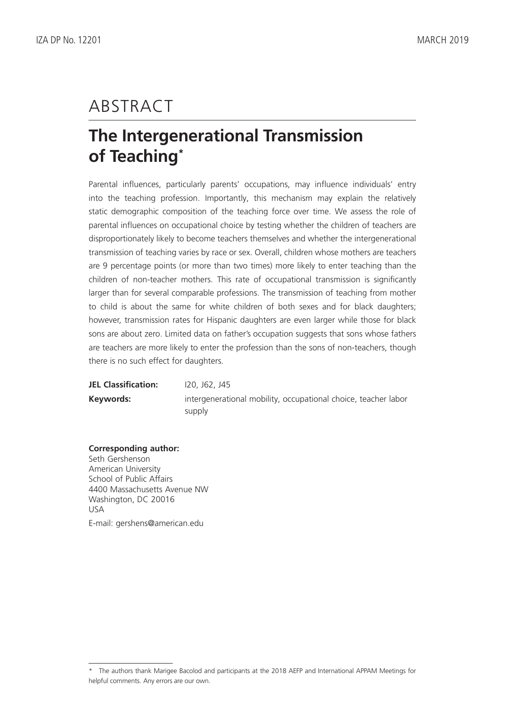# ABSTRACT

# **The Intergenerational Transmission of Teaching\***

Parental influences, particularly parents' occupations, may influence individuals' entry into the teaching profession. Importantly, this mechanism may explain the relatively static demographic composition of the teaching force over time. We assess the role of parental influences on occupational choice by testing whether the children of teachers are disproportionately likely to become teachers themselves and whether the intergenerational transmission of teaching varies by race or sex. Overall, children whose mothers are teachers are 9 percentage points (or more than two times) more likely to enter teaching than the children of non-teacher mothers. This rate of occupational transmission is significantly larger than for several comparable professions. The transmission of teaching from mother to child is about the same for white children of both sexes and for black daughters; however, transmission rates for Hispanic daughters are even larger while those for black sons are about zero. Limited data on father's occupation suggests that sons whose fathers are teachers are more likely to enter the profession than the sons of non-teachers, though there is no such effect for daughters.

| <b>JEL Classification:</b> | I20, J62, J45                                                            |
|----------------------------|--------------------------------------------------------------------------|
| Keywords:                  | intergenerational mobility, occupational choice, teacher labor<br>supply |

#### **Corresponding author:**

Seth Gershenson American University School of Public Affairs 4400 Massachusetts Avenue NW Washington, DC 20016 USA E-mail: gershens@american.edu

<sup>\*</sup> The authors thank Marigee Bacolod and participants at the 2018 AEFP and International APPAM Meetings for helpful comments. Any errors are our own.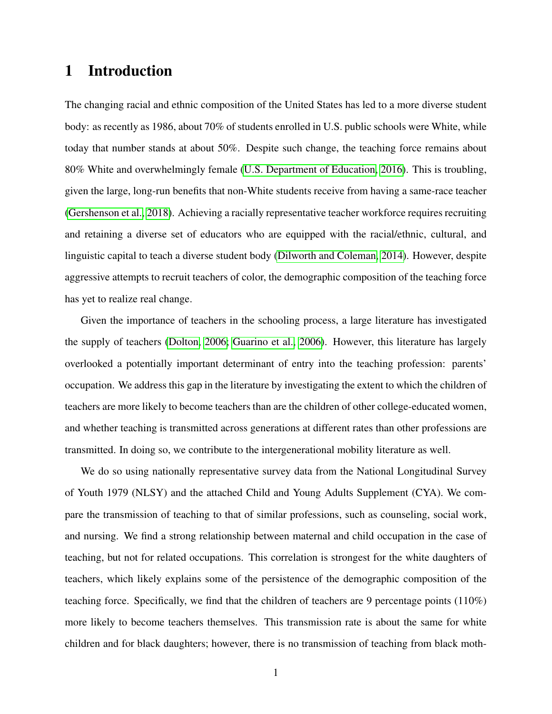## 1 Introduction

The changing racial and ethnic composition of the United States has led to a more diverse student body: as recently as 1986, about 70% of students enrolled in U.S. public schools were White, while today that number stands at about 50%. Despite such change, the teaching force remains about 80% White and overwhelmingly female [\(U.S. Department of Education, 2016\)](#page-22-0). This is troubling, given the large, long-run benefits that non-White students receive from having a same-race teacher [\(Gershenson et al., 2018\)](#page-21-0). Achieving a racially representative teacher workforce requires recruiting and retaining a diverse set of educators who are equipped with the racial/ethnic, cultural, and linguistic capital to teach a diverse student body [\(Dilworth and Coleman, 2014\)](#page-20-0). However, despite aggressive attempts to recruit teachers of color, the demographic composition of the teaching force has yet to realize real change.

Given the importance of teachers in the schooling process, a large literature has investigated the supply of teachers [\(Dolton, 2006;](#page-20-1) [Guarino et al., 2006\)](#page-21-1). However, this literature has largely overlooked a potentially important determinant of entry into the teaching profession: parents' occupation. We address this gap in the literature by investigating the extent to which the children of teachers are more likely to become teachers than are the children of other college-educated women, and whether teaching is transmitted across generations at different rates than other professions are transmitted. In doing so, we contribute to the intergenerational mobility literature as well.

We do so using nationally representative survey data from the National Longitudinal Survey of Youth 1979 (NLSY) and the attached Child and Young Adults Supplement (CYA). We compare the transmission of teaching to that of similar professions, such as counseling, social work, and nursing. We find a strong relationship between maternal and child occupation in the case of teaching, but not for related occupations. This correlation is strongest for the white daughters of teachers, which likely explains some of the persistence of the demographic composition of the teaching force. Specifically, we find that the children of teachers are 9 percentage points (110%) more likely to become teachers themselves. This transmission rate is about the same for white children and for black daughters; however, there is no transmission of teaching from black moth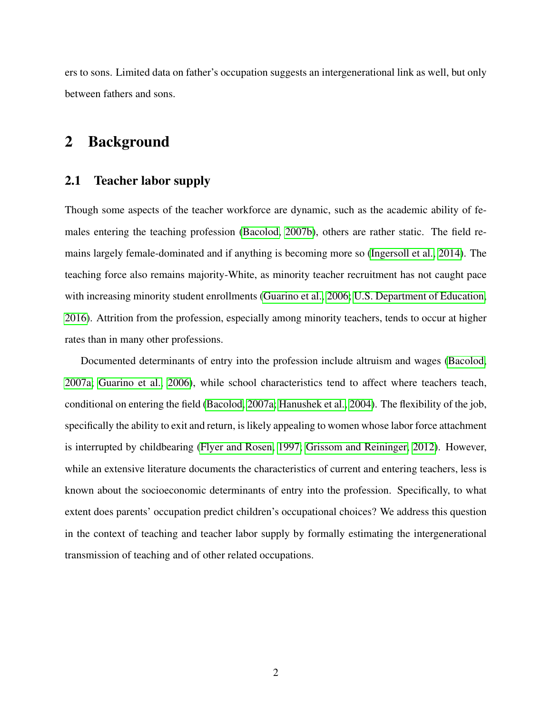ers to sons. Limited data on father's occupation suggests an intergenerational link as well, but only between fathers and sons.

## 2 Background

## 2.1 Teacher labor supply

Though some aspects of the teacher workforce are dynamic, such as the academic ability of females entering the teaching profession [\(Bacolod, 2007b\)](#page-20-2), others are rather static. The field remains largely female-dominated and if anything is becoming more so [\(Ingersoll et al., 2014\)](#page-21-2). The teaching force also remains majority-White, as minority teacher recruitment has not caught pace with increasing minority student enrollments [\(Guarino et al., 2006;](#page-21-1) [U.S. Department of Education,](#page-22-0) [2016\)](#page-22-0). Attrition from the profession, especially among minority teachers, tends to occur at higher rates than in many other professions.

Documented determinants of entry into the profession include altruism and wages [\(Bacolod,](#page-20-3) [2007a;](#page-20-3) [Guarino et al., 2006\)](#page-21-1), while school characteristics tend to affect where teachers teach, conditional on entering the field [\(Bacolod, 2007a;](#page-20-3) [Hanushek et al., 2004\)](#page-21-3). The flexibility of the job, specifically the ability to exit and return, is likely appealing to women whose labor force attachment is interrupted by childbearing [\(Flyer and Rosen, 1997;](#page-21-4) [Grissom and Reininger, 2012\)](#page-21-5). However, while an extensive literature documents the characteristics of current and entering teachers, less is known about the socioeconomic determinants of entry into the profession. Specifically, to what extent does parents' occupation predict children's occupational choices? We address this question in the context of teaching and teacher labor supply by formally estimating the intergenerational transmission of teaching and of other related occupations.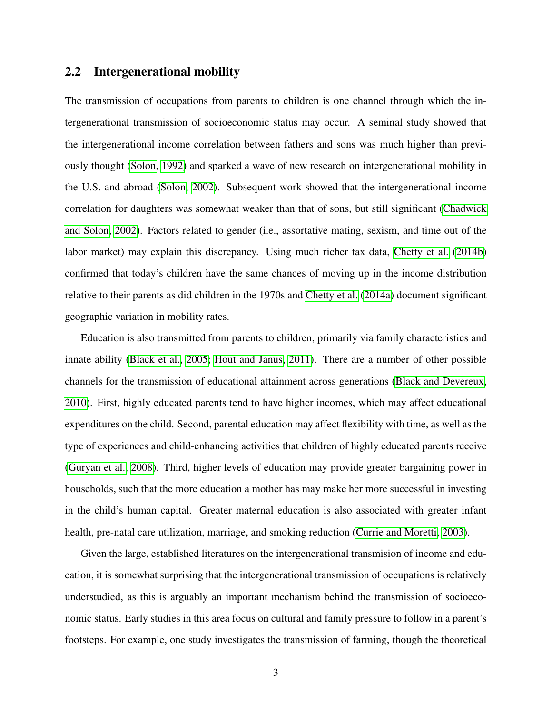### 2.2 Intergenerational mobility

The transmission of occupations from parents to children is one channel through which the intergenerational transmission of socioeconomic status may occur. A seminal study showed that the intergenerational income correlation between fathers and sons was much higher than previously thought [\(Solon, 1992\)](#page-21-6) and sparked a wave of new research on intergenerational mobility in the U.S. and abroad [\(Solon, 2002\)](#page-22-1). Subsequent work showed that the intergenerational income correlation for daughters was somewhat weaker than that of sons, but still significant [\(Chadwick](#page-20-4) [and Solon, 2002\)](#page-20-4). Factors related to gender (i.e., assortative mating, sexism, and time out of the labor market) may explain this discrepancy. Using much richer tax data, [Chetty et al.](#page-20-5) [\(2014b\)](#page-20-5) confirmed that today's children have the same chances of moving up in the income distribution relative to their parents as did children in the 1970s and [Chetty et al.](#page-20-6) [\(2014a\)](#page-20-6) document significant geographic variation in mobility rates.

Education is also transmitted from parents to children, primarily via family characteristics and innate ability [\(Black et al., 2005;](#page-20-7) [Hout and Janus, 2011\)](#page-21-7). There are a number of other possible channels for the transmission of educational attainment across generations [\(Black and Devereux,](#page-20-8) [2010\)](#page-20-8). First, highly educated parents tend to have higher incomes, which may affect educational expenditures on the child. Second, parental education may affect flexibility with time, as well as the type of experiences and child-enhancing activities that children of highly educated parents receive [\(Guryan et al., 2008\)](#page-21-8). Third, higher levels of education may provide greater bargaining power in households, such that the more education a mother has may make her more successful in investing in the child's human capital. Greater maternal education is also associated with greater infant health, pre-natal care utilization, marriage, and smoking reduction [\(Currie and Moretti, 2003\)](#page-20-9).

Given the large, established literatures on the intergenerational transmision of income and education, it is somewhat surprising that the intergenerational transmission of occupations is relatively understudied, as this is arguably an important mechanism behind the transmission of socioeconomic status. Early studies in this area focus on cultural and family pressure to follow in a parent's footsteps. For example, one study investigates the transmission of farming, though the theoretical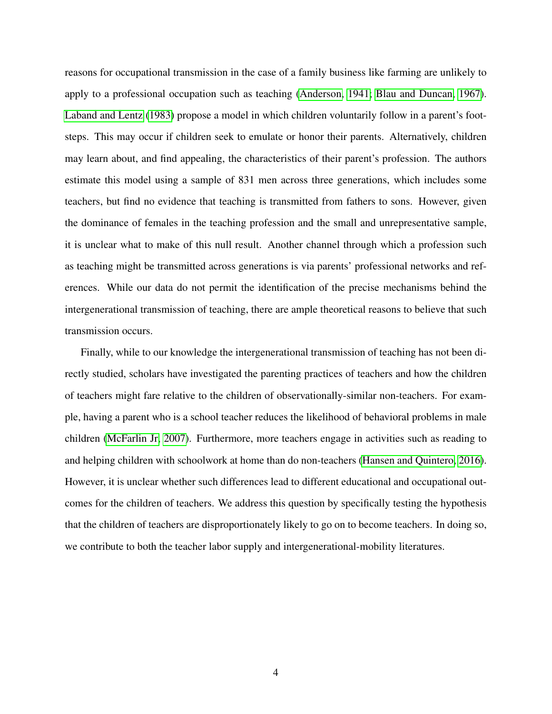reasons for occupational transmission in the case of a family business like farming are unlikely to apply to a professional occupation such as teaching [\(Anderson, 1941;](#page-20-10) [Blau and Duncan, 1967\)](#page-20-11). [Laband and Lentz](#page-21-9) [\(1983\)](#page-21-9) propose a model in which children voluntarily follow in a parent's footsteps. This may occur if children seek to emulate or honor their parents. Alternatively, children may learn about, and find appealing, the characteristics of their parent's profession. The authors estimate this model using a sample of 831 men across three generations, which includes some teachers, but find no evidence that teaching is transmitted from fathers to sons. However, given the dominance of females in the teaching profession and the small and unrepresentative sample, it is unclear what to make of this null result. Another channel through which a profession such as teaching might be transmitted across generations is via parents' professional networks and references. While our data do not permit the identification of the precise mechanisms behind the intergenerational transmission of teaching, there are ample theoretical reasons to believe that such transmission occurs.

Finally, while to our knowledge the intergenerational transmission of teaching has not been directly studied, scholars have investigated the parenting practices of teachers and how the children of teachers might fare relative to the children of observationally-similar non-teachers. For example, having a parent who is a school teacher reduces the likelihood of behavioral problems in male children [\(McFarlin Jr, 2007\)](#page-21-10). Furthermore, more teachers engage in activities such as reading to and helping children with schoolwork at home than do non-teachers [\(Hansen and Quintero, 2016\)](#page-21-11). However, it is unclear whether such differences lead to different educational and occupational outcomes for the children of teachers. We address this question by specifically testing the hypothesis that the children of teachers are disproportionately likely to go on to become teachers. In doing so, we contribute to both the teacher labor supply and intergenerational-mobility literatures.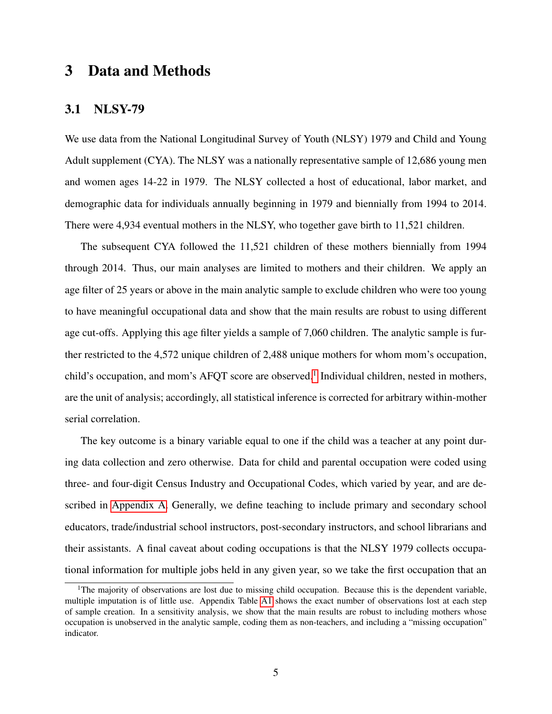## 3 Data and Methods

#### <span id="page-7-1"></span>3.1 NLSY-79

We use data from the National Longitudinal Survey of Youth (NLSY) 1979 and Child and Young Adult supplement (CYA). The NLSY was a nationally representative sample of 12,686 young men and women ages 14-22 in 1979. The NLSY collected a host of educational, labor market, and demographic data for individuals annually beginning in 1979 and biennially from 1994 to 2014. There were 4,934 eventual mothers in the NLSY, who together gave birth to 11,521 children.

The subsequent CYA followed the 11,521 children of these mothers biennially from 1994 through 2014. Thus, our main analyses are limited to mothers and their children. We apply an age filter of 25 years or above in the main analytic sample to exclude children who were too young to have meaningful occupational data and show that the main results are robust to using different age cut-offs. Applying this age filter yields a sample of 7,060 children. The analytic sample is further restricted to the 4,572 unique children of 2,488 unique mothers for whom mom's occupation, child's occupation, and mom's AFQT score are observed.<sup>[1](#page-7-0)</sup> Individual children, nested in mothers, are the unit of analysis; accordingly, all statistical inference is corrected for arbitrary within-mother serial correlation.

The key outcome is a binary variable equal to one if the child was a teacher at any point during data collection and zero otherwise. Data for child and parental occupation were coded using three- and four-digit Census Industry and Occupational Codes, which varied by year, and are described in [Appendix A.](#page-28-0) Generally, we define teaching to include primary and secondary school educators, trade/industrial school instructors, post-secondary instructors, and school librarians and their assistants. A final caveat about coding occupations is that the NLSY 1979 collects occupational information for multiple jobs held in any given year, so we take the first occupation that an

<span id="page-7-0"></span><sup>&</sup>lt;sup>1</sup>The majority of observations are lost due to missing child occupation. Because this is the dependent variable, multiple imputation is of little use. Appendix Table [A1](#page-30-0) shows the exact number of observations lost at each step of sample creation. In a sensitivity analysis, we show that the main results are robust to including mothers whose occupation is unobserved in the analytic sample, coding them as non-teachers, and including a "missing occupation" indicator.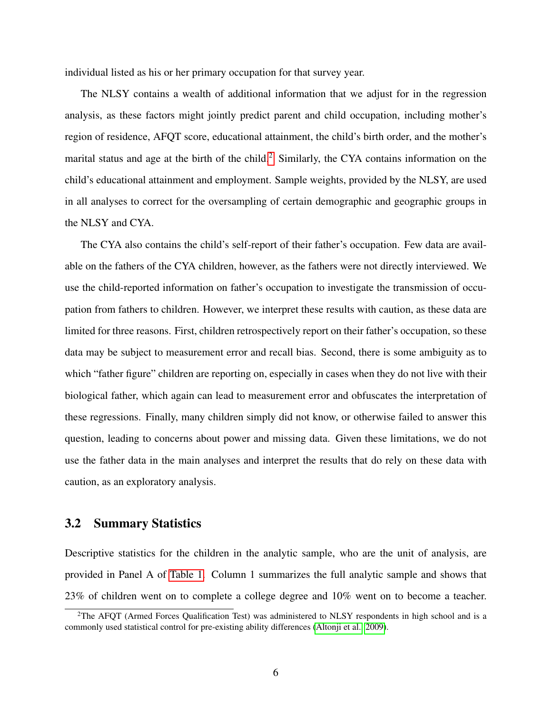individual listed as his or her primary occupation for that survey year.

The NLSY contains a wealth of additional information that we adjust for in the regression analysis, as these factors might jointly predict parent and child occupation, including mother's region of residence, AFQT score, educational attainment, the child's birth order, and the mother's marital status and age at the birth of the child.<sup>[2](#page-8-0)</sup> Similarly, the CYA contains information on the child's educational attainment and employment. Sample weights, provided by the NLSY, are used in all analyses to correct for the oversampling of certain demographic and geographic groups in the NLSY and CYA.

The CYA also contains the child's self-report of their father's occupation. Few data are available on the fathers of the CYA children, however, as the fathers were not directly interviewed. We use the child-reported information on father's occupation to investigate the transmission of occupation from fathers to children. However, we interpret these results with caution, as these data are limited for three reasons. First, children retrospectively report on their father's occupation, so these data may be subject to measurement error and recall bias. Second, there is some ambiguity as to which "father figure" children are reporting on, especially in cases when they do not live with their biological father, which again can lead to measurement error and obfuscates the interpretation of these regressions. Finally, many children simply did not know, or otherwise failed to answer this question, leading to concerns about power and missing data. Given these limitations, we do not use the father data in the main analyses and interpret the results that do rely on these data with caution, as an exploratory analysis.

### 3.2 Summary Statistics

Descriptive statistics for the children in the analytic sample, who are the unit of analysis, are provided in Panel A of [Table 1.](#page-23-0) Column 1 summarizes the full analytic sample and shows that 23% of children went on to complete a college degree and 10% went on to become a teacher.

<span id="page-8-0"></span><sup>&</sup>lt;sup>2</sup>The AFQT (Armed Forces Qualification Test) was administered to NLSY respondents in high school and is a commonly used statistical control for pre-existing ability differences [\(Altonji et al., 2009\)](#page-20-12).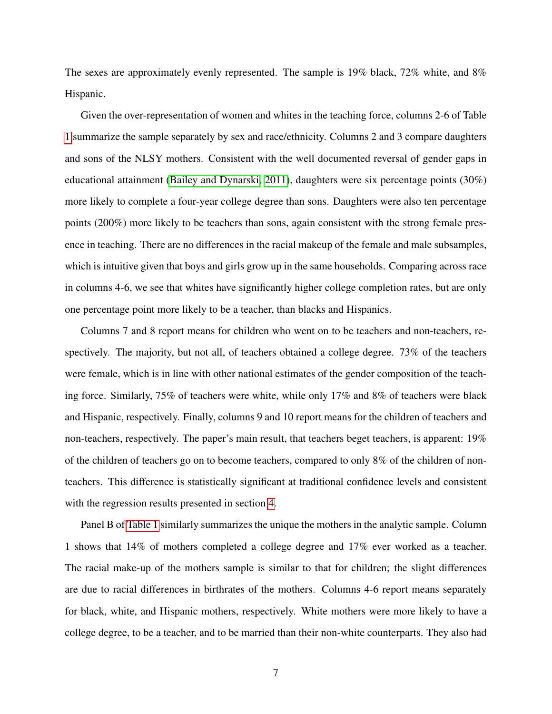The sexes are approximately evenly represented. The sample is 19% black, 72% white, and 8% Hispanic.

Given the over-representation of women and whites in the teaching force, columns 2-6 of Table [1](#page-23-0) summarize the sample separately by sex and race/ethnicity. Columns 2 and 3 compare daughters and sons of the NLSY mothers. Consistent with the well documented reversal of gender gaps in educational attainment [\(Bailey and Dynarski, 2011\)](#page-20-13), daughters were six percentage points (30%) more likely to complete a four-year college degree than sons. Daughters were also ten percentage points (200%) more likely to be teachers than sons, again consistent with the strong female presence in teaching. There are no differences in the racial makeup of the female and male subsamples, which is intuitive given that boys and girls grow up in the same households. Comparing across race in columns 4-6, we see that whites have significantly higher college completion rates, but are only one percentage point more likely to be a teacher, than blacks and Hispanics.

Columns 7 and 8 report means for children who went on to be teachers and non-teachers, respectively. The majority, but not all, of teachers obtained a college degree. 73% of the teachers were female, which is in line with other national estimates of the gender composition of the teaching force. Similarly, 75% of teachers were white, while only 17% and 8% of teachers were black and Hispanic, respectively. Finally, columns 9 and 10 report means for the children of teachers and non-teachers, respectively. The paper's main result, that teachers beget teachers, is apparent: 19% of the children of teachers go on to become teachers, compared to only 8% of the children of nonteachers. This difference is statistically significant at traditional confidence levels and consistent with the regression results presented in section [4.](#page-11-0)

Panel B of [Table 1](#page-23-0) similarly summarizes the unique the mothers in the analytic sample. Column 1 shows that 14% of mothers completed a college degree and 17% ever worked as a teacher. The racial make-up of the mothers sample is similar to that for children; the slight differences are due to racial differences in birthrates of the mothers. Columns 4-6 report means separately for black, white, and Hispanic mothers, respectively. White mothers were more likely to have a college degree, to be a teacher, and to be married than their non-white counterparts. They also had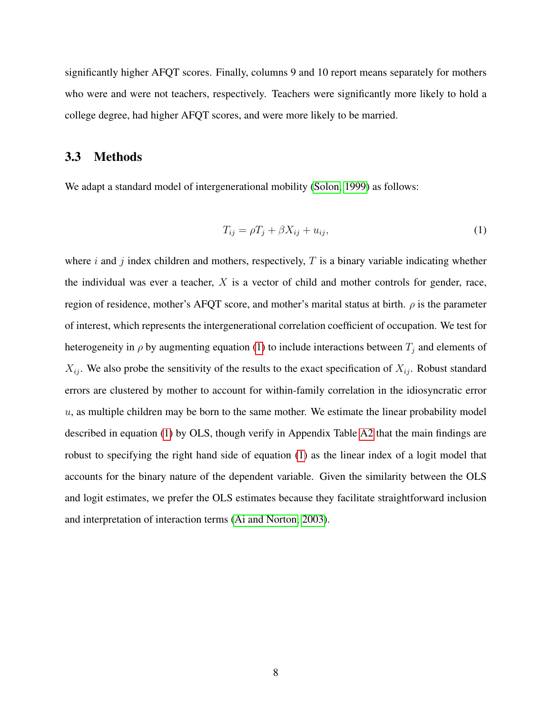significantly higher AFQT scores. Finally, columns 9 and 10 report means separately for mothers who were and were not teachers, respectively. Teachers were significantly more likely to hold a college degree, had higher AFQT scores, and were more likely to be married.

#### 3.3 Methods

We adapt a standard model of intergenerational mobility [\(Solon, 1999\)](#page-21-12) as follows:

<span id="page-10-0"></span>
$$
T_{ij} = \rho T_j + \beta X_{ij} + u_{ij},\tag{1}
$$

where i and j index children and mothers, respectively,  $T$  is a binary variable indicating whether the individual was ever a teacher,  $X$  is a vector of child and mother controls for gender, race, region of residence, mother's AFQT score, and mother's marital status at birth.  $\rho$  is the parameter of interest, which represents the intergenerational correlation coefficient of occupation. We test for heterogeneity in  $\rho$  by augmenting equation [\(1\)](#page-10-0) to include interactions between  $T_j$  and elements of  $X_{ij}$ . We also probe the sensitivity of the results to the exact specification of  $X_{ij}$ . Robust standard errors are clustered by mother to account for within-family correlation in the idiosyncratic error  $u$ , as multiple children may be born to the same mother. We estimate the linear probability model described in equation [\(1\)](#page-10-0) by OLS, though verify in Appendix Table [A2](#page-31-0) that the main findings are robust to specifying the right hand side of equation [\(1\)](#page-10-0) as the linear index of a logit model that accounts for the binary nature of the dependent variable. Given the similarity between the OLS and logit estimates, we prefer the OLS estimates because they facilitate straightforward inclusion and interpretation of interaction terms [\(Ai and Norton, 2003\)](#page-20-14).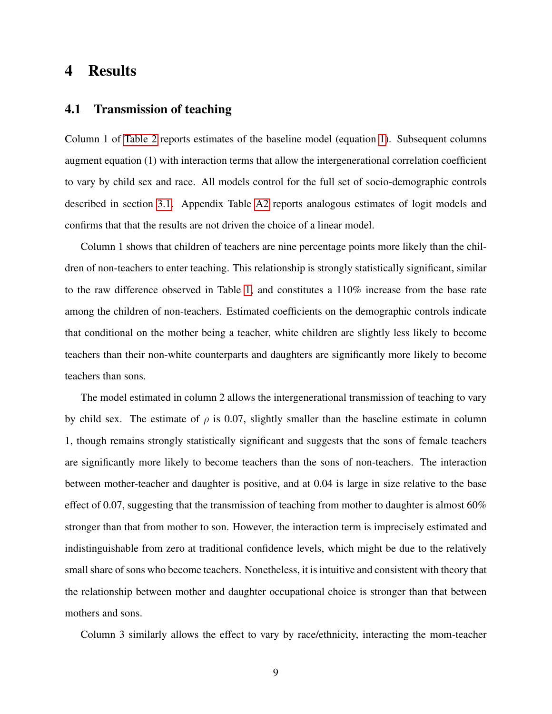## <span id="page-11-0"></span>4 Results

### 4.1 Transmission of teaching

Column 1 of [Table 2](#page-24-0) reports estimates of the baseline model (equation [1\)](#page-10-0). Subsequent columns augment equation (1) with interaction terms that allow the intergenerational correlation coefficient to vary by child sex and race. All models control for the full set of socio-demographic controls described in section [3.1.](#page-7-1) Appendix Table [A2](#page-31-0) reports analogous estimates of logit models and confirms that that the results are not driven the choice of a linear model.

Column 1 shows that children of teachers are nine percentage points more likely than the children of non-teachers to enter teaching. This relationship is strongly statistically significant, similar to the raw difference observed in Table [1,](#page-23-0) and constitutes a 110% increase from the base rate among the children of non-teachers. Estimated coefficients on the demographic controls indicate that conditional on the mother being a teacher, white children are slightly less likely to become teachers than their non-white counterparts and daughters are significantly more likely to become teachers than sons.

The model estimated in column 2 allows the intergenerational transmission of teaching to vary by child sex. The estimate of  $\rho$  is 0.07, slightly smaller than the baseline estimate in column 1, though remains strongly statistically significant and suggests that the sons of female teachers are significantly more likely to become teachers than the sons of non-teachers. The interaction between mother-teacher and daughter is positive, and at 0.04 is large in size relative to the base effect of 0.07, suggesting that the transmission of teaching from mother to daughter is almost 60% stronger than that from mother to son. However, the interaction term is imprecisely estimated and indistinguishable from zero at traditional confidence levels, which might be due to the relatively small share of sons who become teachers. Nonetheless, it is intuitive and consistent with theory that the relationship between mother and daughter occupational choice is stronger than that between mothers and sons.

Column 3 similarly allows the effect to vary by race/ethnicity, interacting the mom-teacher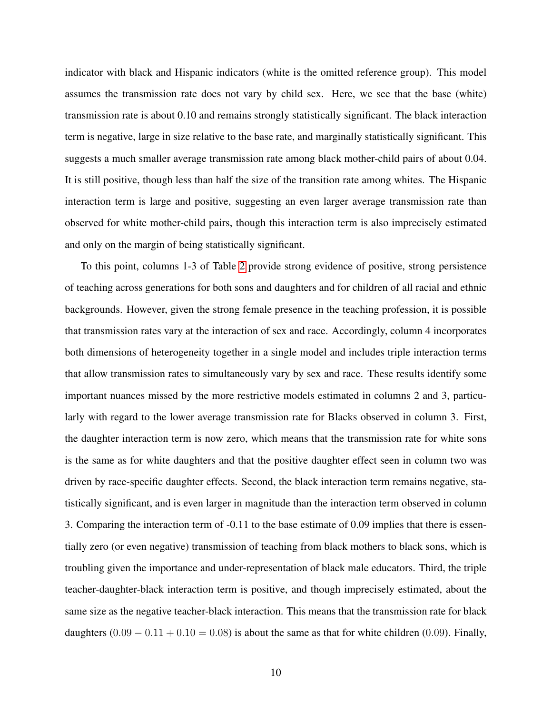indicator with black and Hispanic indicators (white is the omitted reference group). This model assumes the transmission rate does not vary by child sex. Here, we see that the base (white) transmission rate is about 0.10 and remains strongly statistically significant. The black interaction term is negative, large in size relative to the base rate, and marginally statistically significant. This suggests a much smaller average transmission rate among black mother-child pairs of about 0.04. It is still positive, though less than half the size of the transition rate among whites. The Hispanic interaction term is large and positive, suggesting an even larger average transmission rate than observed for white mother-child pairs, though this interaction term is also imprecisely estimated and only on the margin of being statistically significant.

To this point, columns 1-3 of Table [2](#page-24-0) provide strong evidence of positive, strong persistence of teaching across generations for both sons and daughters and for children of all racial and ethnic backgrounds. However, given the strong female presence in the teaching profession, it is possible that transmission rates vary at the interaction of sex and race. Accordingly, column 4 incorporates both dimensions of heterogeneity together in a single model and includes triple interaction terms that allow transmission rates to simultaneously vary by sex and race. These results identify some important nuances missed by the more restrictive models estimated in columns 2 and 3, particularly with regard to the lower average transmission rate for Blacks observed in column 3. First, the daughter interaction term is now zero, which means that the transmission rate for white sons is the same as for white daughters and that the positive daughter effect seen in column two was driven by race-specific daughter effects. Second, the black interaction term remains negative, statistically significant, and is even larger in magnitude than the interaction term observed in column 3. Comparing the interaction term of -0.11 to the base estimate of 0.09 implies that there is essentially zero (or even negative) transmission of teaching from black mothers to black sons, which is troubling given the importance and under-representation of black male educators. Third, the triple teacher-daughter-black interaction term is positive, and though imprecisely estimated, about the same size as the negative teacher-black interaction. This means that the transmission rate for black daughters  $(0.09 - 0.11 + 0.10 = 0.08)$  is about the same as that for white children (0.09). Finally,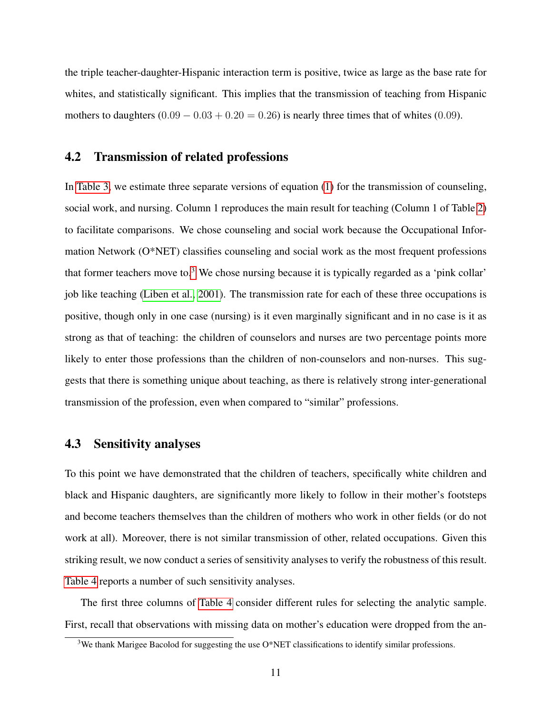the triple teacher-daughter-Hispanic interaction term is positive, twice as large as the base rate for whites, and statistically significant. This implies that the transmission of teaching from Hispanic mothers to daughters  $(0.09 - 0.03 + 0.20 = 0.26)$  is nearly three times that of whites  $(0.09)$ .

### 4.2 Transmission of related professions

In [Table 3,](#page-25-0) we estimate three separate versions of equation [\(1\)](#page-10-0) for the transmission of counseling, social work, and nursing. Column 1 reproduces the main result for teaching (Column 1 of Table [2\)](#page-24-0) to facilitate comparisons. We chose counseling and social work because the Occupational Information Network (O\*NET) classifies counseling and social work as the most frequent professions that former teachers move to.<sup>[3](#page-13-0)</sup> We chose nursing because it is typically regarded as a 'pink collar' job like teaching [\(Liben et al., 2001\)](#page-21-13). The transmission rate for each of these three occupations is positive, though only in one case (nursing) is it even marginally significant and in no case is it as strong as that of teaching: the children of counselors and nurses are two percentage points more likely to enter those professions than the children of non-counselors and non-nurses. This suggests that there is something unique about teaching, as there is relatively strong inter-generational transmission of the profession, even when compared to "similar" professions.

#### 4.3 Sensitivity analyses

To this point we have demonstrated that the children of teachers, specifically white children and black and Hispanic daughters, are significantly more likely to follow in their mother's footsteps and become teachers themselves than the children of mothers who work in other fields (or do not work at all). Moreover, there is not similar transmission of other, related occupations. Given this striking result, we now conduct a series of sensitivity analyses to verify the robustness of this result. [Table 4](#page-26-0) reports a number of such sensitivity analyses.

The first three columns of [Table 4](#page-26-0) consider different rules for selecting the analytic sample. First, recall that observations with missing data on mother's education were dropped from the an-

<span id="page-13-0"></span><sup>3</sup>We thank Marigee Bacolod for suggesting the use O\*NET classifications to identify similar professions.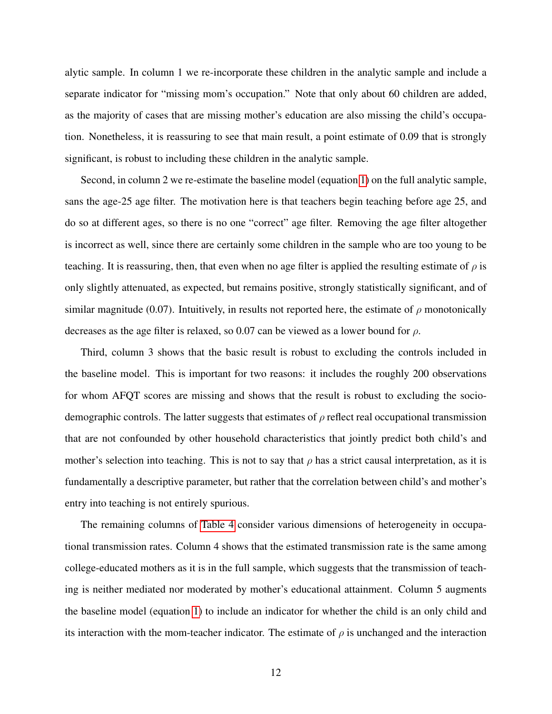alytic sample. In column 1 we re-incorporate these children in the analytic sample and include a separate indicator for "missing mom's occupation." Note that only about 60 children are added, as the majority of cases that are missing mother's education are also missing the child's occupation. Nonetheless, it is reassuring to see that main result, a point estimate of 0.09 that is strongly significant, is robust to including these children in the analytic sample.

Second, in column 2 we re-estimate the baseline model (equation [1\)](#page-10-0) on the full analytic sample, sans the age-25 age filter. The motivation here is that teachers begin teaching before age 25, and do so at different ages, so there is no one "correct" age filter. Removing the age filter altogether is incorrect as well, since there are certainly some children in the sample who are too young to be teaching. It is reassuring, then, that even when no age filter is applied the resulting estimate of  $\rho$  is only slightly attenuated, as expected, but remains positive, strongly statistically significant, and of similar magnitude (0.07). Intuitively, in results not reported here, the estimate of  $\rho$  monotonically decreases as the age filter is relaxed, so 0.07 can be viewed as a lower bound for  $\rho$ .

Third, column 3 shows that the basic result is robust to excluding the controls included in the baseline model. This is important for two reasons: it includes the roughly 200 observations for whom AFQT scores are missing and shows that the result is robust to excluding the sociodemographic controls. The latter suggests that estimates of  $\rho$  reflect real occupational transmission that are not confounded by other household characteristics that jointly predict both child's and mother's selection into teaching. This is not to say that  $\rho$  has a strict causal interpretation, as it is fundamentally a descriptive parameter, but rather that the correlation between child's and mother's entry into teaching is not entirely spurious.

The remaining columns of [Table 4](#page-26-0) consider various dimensions of heterogeneity in occupational transmission rates. Column 4 shows that the estimated transmission rate is the same among college-educated mothers as it is in the full sample, which suggests that the transmission of teaching is neither mediated nor moderated by mother's educational attainment. Column 5 augments the baseline model (equation [1\)](#page-10-0) to include an indicator for whether the child is an only child and its interaction with the mom-teacher indicator. The estimate of  $\rho$  is unchanged and the interaction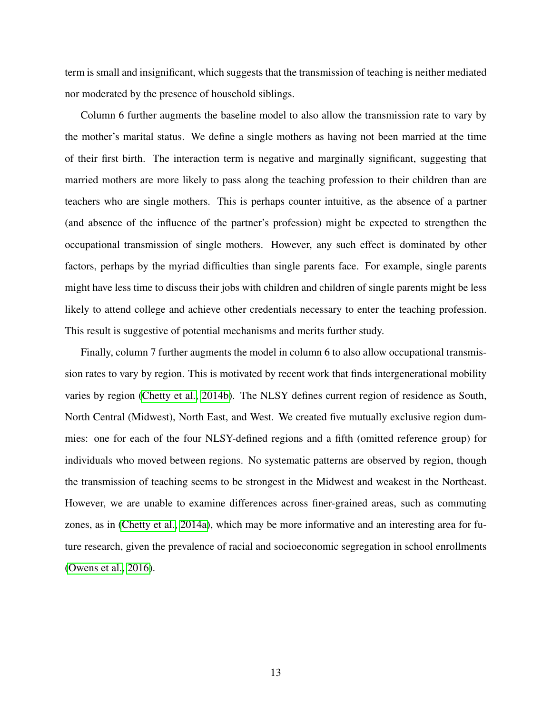term is small and insignificant, which suggests that the transmission of teaching is neither mediated nor moderated by the presence of household siblings.

Column 6 further augments the baseline model to also allow the transmission rate to vary by the mother's marital status. We define a single mothers as having not been married at the time of their first birth. The interaction term is negative and marginally significant, suggesting that married mothers are more likely to pass along the teaching profession to their children than are teachers who are single mothers. This is perhaps counter intuitive, as the absence of a partner (and absence of the influence of the partner's profession) might be expected to strengthen the occupational transmission of single mothers. However, any such effect is dominated by other factors, perhaps by the myriad difficulties than single parents face. For example, single parents might have less time to discuss their jobs with children and children of single parents might be less likely to attend college and achieve other credentials necessary to enter the teaching profession. This result is suggestive of potential mechanisms and merits further study.

Finally, column 7 further augments the model in column 6 to also allow occupational transmission rates to vary by region. This is motivated by recent work that finds intergenerational mobility varies by region [\(Chetty et al., 2014b\)](#page-20-5). The NLSY defines current region of residence as South, North Central (Midwest), North East, and West. We created five mutually exclusive region dummies: one for each of the four NLSY-defined regions and a fifth (omitted reference group) for individuals who moved between regions. No systematic patterns are observed by region, though the transmission of teaching seems to be strongest in the Midwest and weakest in the Northeast. However, we are unable to examine differences across finer-grained areas, such as commuting zones, as in [\(Chetty et al., 2014a\)](#page-20-6), which may be more informative and an interesting area for future research, given the prevalence of racial and socioeconomic segregation in school enrollments [\(Owens et al., 2016\)](#page-21-14).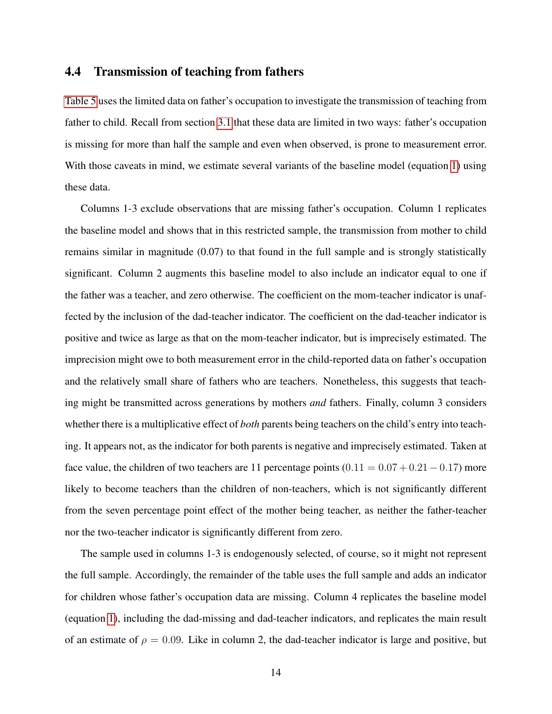### 4.4 Transmission of teaching from fathers

[Table 5](#page-27-0) uses the limited data on father's occupation to investigate the transmission of teaching from father to child. Recall from section [3.1](#page-7-1) that these data are limited in two ways: father's occupation is missing for more than half the sample and even when observed, is prone to measurement error. With those caveats in mind, we estimate several variants of the baseline model (equation [1\)](#page-10-0) using these data.

Columns 1-3 exclude observations that are missing father's occupation. Column 1 replicates the baseline model and shows that in this restricted sample, the transmission from mother to child remains similar in magnitude (0.07) to that found in the full sample and is strongly statistically significant. Column 2 augments this baseline model to also include an indicator equal to one if the father was a teacher, and zero otherwise. The coefficient on the mom-teacher indicator is unaffected by the inclusion of the dad-teacher indicator. The coefficient on the dad-teacher indicator is positive and twice as large as that on the mom-teacher indicator, but is imprecisely estimated. The imprecision might owe to both measurement error in the child-reported data on father's occupation and the relatively small share of fathers who are teachers. Nonetheless, this suggests that teaching might be transmitted across generations by mothers *and* fathers. Finally, column 3 considers whether there is a multiplicative effect of *both* parents being teachers on the child's entry into teaching. It appears not, as the indicator for both parents is negative and imprecisely estimated. Taken at face value, the children of two teachers are 11 percentage points  $(0.11 = 0.07 + 0.21 - 0.17)$  more likely to become teachers than the children of non-teachers, which is not significantly different from the seven percentage point effect of the mother being teacher, as neither the father-teacher nor the two-teacher indicator is significantly different from zero.

The sample used in columns 1-3 is endogenously selected, of course, so it might not represent the full sample. Accordingly, the remainder of the table uses the full sample and adds an indicator for children whose father's occupation data are missing. Column 4 replicates the baseline model (equation [1\)](#page-10-0), including the dad-missing and dad-teacher indicators, and replicates the main result of an estimate of  $\rho = 0.09$ . Like in column 2, the dad-teacher indicator is large and positive, but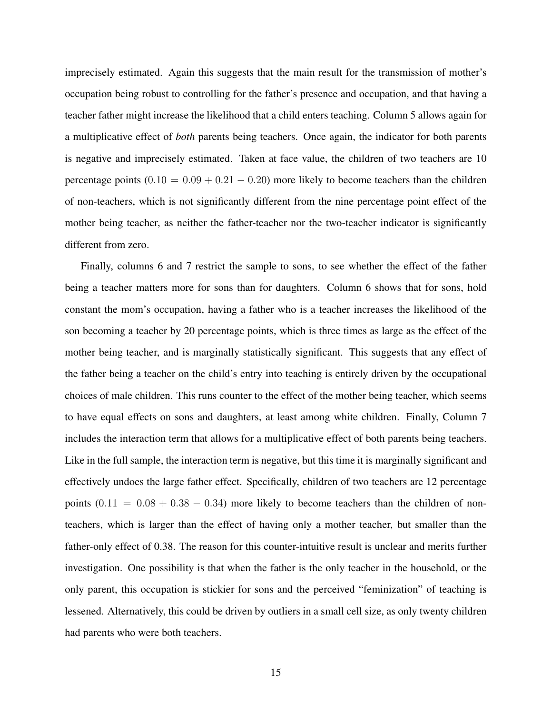imprecisely estimated. Again this suggests that the main result for the transmission of mother's occupation being robust to controlling for the father's presence and occupation, and that having a teacher father might increase the likelihood that a child enters teaching. Column 5 allows again for a multiplicative effect of *both* parents being teachers. Once again, the indicator for both parents is negative and imprecisely estimated. Taken at face value, the children of two teachers are 10 percentage points  $(0.10 = 0.09 + 0.21 - 0.20)$  more likely to become teachers than the children of non-teachers, which is not significantly different from the nine percentage point effect of the mother being teacher, as neither the father-teacher nor the two-teacher indicator is significantly different from zero.

Finally, columns 6 and 7 restrict the sample to sons, to see whether the effect of the father being a teacher matters more for sons than for daughters. Column 6 shows that for sons, hold constant the mom's occupation, having a father who is a teacher increases the likelihood of the son becoming a teacher by 20 percentage points, which is three times as large as the effect of the mother being teacher, and is marginally statistically significant. This suggests that any effect of the father being a teacher on the child's entry into teaching is entirely driven by the occupational choices of male children. This runs counter to the effect of the mother being teacher, which seems to have equal effects on sons and daughters, at least among white children. Finally, Column 7 includes the interaction term that allows for a multiplicative effect of both parents being teachers. Like in the full sample, the interaction term is negative, but this time it is marginally significant and effectively undoes the large father effect. Specifically, children of two teachers are 12 percentage points  $(0.11 = 0.08 + 0.38 - 0.34)$  more likely to become teachers than the children of nonteachers, which is larger than the effect of having only a mother teacher, but smaller than the father-only effect of 0.38. The reason for this counter-intuitive result is unclear and merits further investigation. One possibility is that when the father is the only teacher in the household, or the only parent, this occupation is stickier for sons and the perceived "feminization" of teaching is lessened. Alternatively, this could be driven by outliers in a small cell size, as only twenty children had parents who were both teachers.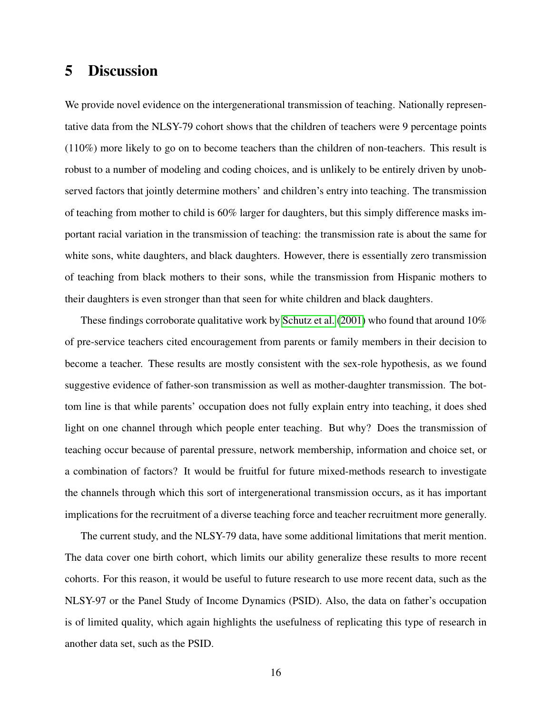## 5 Discussion

We provide novel evidence on the intergenerational transmission of teaching. Nationally representative data from the NLSY-79 cohort shows that the children of teachers were 9 percentage points (110%) more likely to go on to become teachers than the children of non-teachers. This result is robust to a number of modeling and coding choices, and is unlikely to be entirely driven by unobserved factors that jointly determine mothers' and children's entry into teaching. The transmission of teaching from mother to child is 60% larger for daughters, but this simply difference masks important racial variation in the transmission of teaching: the transmission rate is about the same for white sons, white daughters, and black daughters. However, there is essentially zero transmission of teaching from black mothers to their sons, while the transmission from Hispanic mothers to their daughters is even stronger than that seen for white children and black daughters.

These findings corroborate qualitative work by [Schutz et al.](#page-21-15) [\(2001\)](#page-21-15) who found that around 10% of pre-service teachers cited encouragement from parents or family members in their decision to become a teacher. These results are mostly consistent with the sex-role hypothesis, as we found suggestive evidence of father-son transmission as well as mother-daughter transmission. The bottom line is that while parents' occupation does not fully explain entry into teaching, it does shed light on one channel through which people enter teaching. But why? Does the transmission of teaching occur because of parental pressure, network membership, information and choice set, or a combination of factors? It would be fruitful for future mixed-methods research to investigate the channels through which this sort of intergenerational transmission occurs, as it has important implications for the recruitment of a diverse teaching force and teacher recruitment more generally.

The current study, and the NLSY-79 data, have some additional limitations that merit mention. The data cover one birth cohort, which limits our ability generalize these results to more recent cohorts. For this reason, it would be useful to future research to use more recent data, such as the NLSY-97 or the Panel Study of Income Dynamics (PSID). Also, the data on father's occupation is of limited quality, which again highlights the usefulness of replicating this type of research in another data set, such as the PSID.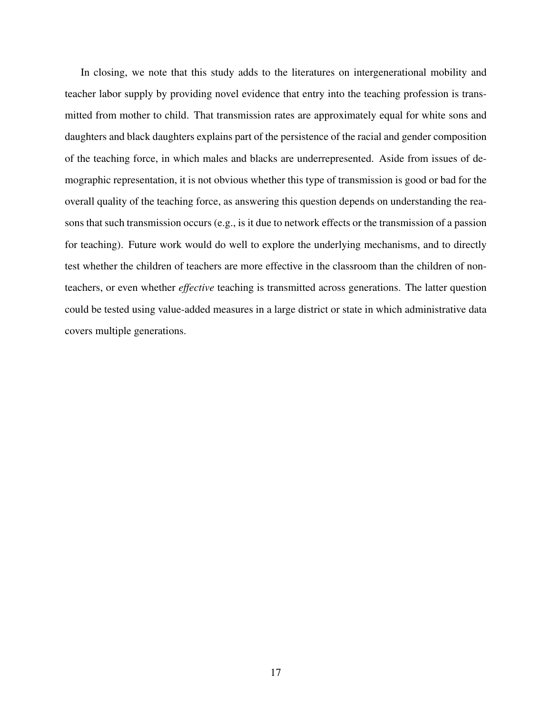In closing, we note that this study adds to the literatures on intergenerational mobility and teacher labor supply by providing novel evidence that entry into the teaching profession is transmitted from mother to child. That transmission rates are approximately equal for white sons and daughters and black daughters explains part of the persistence of the racial and gender composition of the teaching force, in which males and blacks are underrepresented. Aside from issues of demographic representation, it is not obvious whether this type of transmission is good or bad for the overall quality of the teaching force, as answering this question depends on understanding the reasons that such transmission occurs (e.g., is it due to network effects or the transmission of a passion for teaching). Future work would do well to explore the underlying mechanisms, and to directly test whether the children of teachers are more effective in the classroom than the children of nonteachers, or even whether *effective* teaching is transmitted across generations. The latter question could be tested using value-added measures in a large district or state in which administrative data covers multiple generations.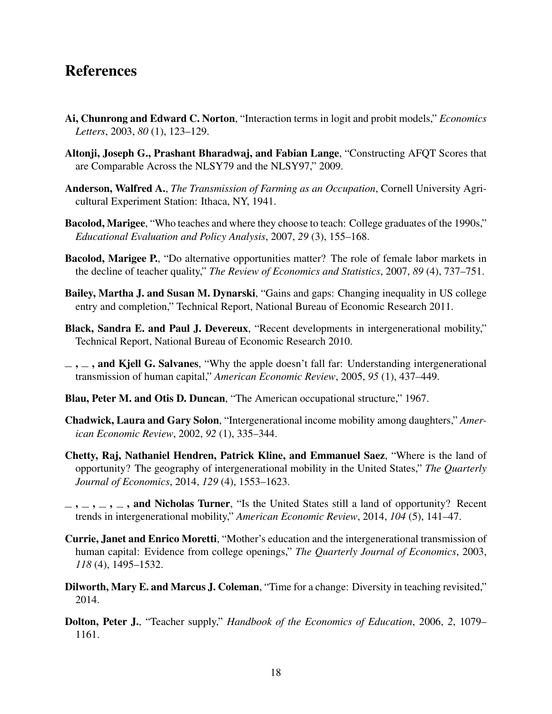## References

- <span id="page-20-14"></span>Ai, Chunrong and Edward C. Norton, "Interaction terms in logit and probit models," *Economics Letters*, 2003, *80* (1), 123–129.
- <span id="page-20-12"></span>Altonji, Joseph G., Prashant Bharadwaj, and Fabian Lange, "Constructing AFQT Scores that are Comparable Across the NLSY79 and the NLSY97," 2009.
- <span id="page-20-10"></span>Anderson, Walfred A., *The Transmission of Farming as an Occupation*, Cornell University Agricultural Experiment Station: Ithaca, NY, 1941.
- <span id="page-20-3"></span>Bacolod, Marigee, "Who teaches and where they choose to teach: College graduates of the 1990s," *Educational Evaluation and Policy Analysis*, 2007, *29* (3), 155–168.
- <span id="page-20-2"></span>Bacolod, Marigee P., "Do alternative opportunities matter? The role of female labor markets in the decline of teacher quality," *The Review of Economics and Statistics*, 2007, *89* (4), 737–751.
- <span id="page-20-13"></span>Bailey, Martha J. and Susan M. Dynarski, "Gains and gaps: Changing inequality in US college entry and completion," Technical Report, National Bureau of Economic Research 2011.
- <span id="page-20-8"></span>Black, Sandra E. and Paul J. Devereux, "Recent developments in intergenerational mobility," Technical Report, National Bureau of Economic Research 2010.
- <span id="page-20-7"></span> $\ldots$ , and Kjell G. Salvanes, "Why the apple doesn't fall far: Understanding intergenerational transmission of human capital," *American Economic Review*, 2005, *95* (1), 437–449.
- <span id="page-20-11"></span>Blau, Peter M. and Otis D. Duncan, "The American occupational structure," 1967.
- <span id="page-20-4"></span>Chadwick, Laura and Gary Solon, "Intergenerational income mobility among daughters," *American Economic Review*, 2002, *92* (1), 335–344.
- <span id="page-20-6"></span>Chetty, Raj, Nathaniel Hendren, Patrick Kline, and Emmanuel Saez, "Where is the land of opportunity? The geography of intergenerational mobility in the United States," *The Quarterly Journal of Economics*, 2014, *129* (4), 1553–1623.
- <span id="page-20-5"></span> $\ldots, \ldots, \ldots$ , and Nicholas Turner, "Is the United States still a land of opportunity? Recent trends in intergenerational mobility," *American Economic Review*, 2014, *104* (5), 141–47.
- <span id="page-20-9"></span>Currie, Janet and Enrico Moretti, "Mother's education and the intergenerational transmission of human capital: Evidence from college openings," *The Quarterly Journal of Economics*, 2003, *118* (4), 1495–1532.
- <span id="page-20-0"></span>Dilworth, Mary E. and Marcus J. Coleman, "Time for a change: Diversity in teaching revisited," 2014.
- <span id="page-20-1"></span>Dolton, Peter J., "Teacher supply," *Handbook of the Economics of Education*, 2006, *2*, 1079– 1161.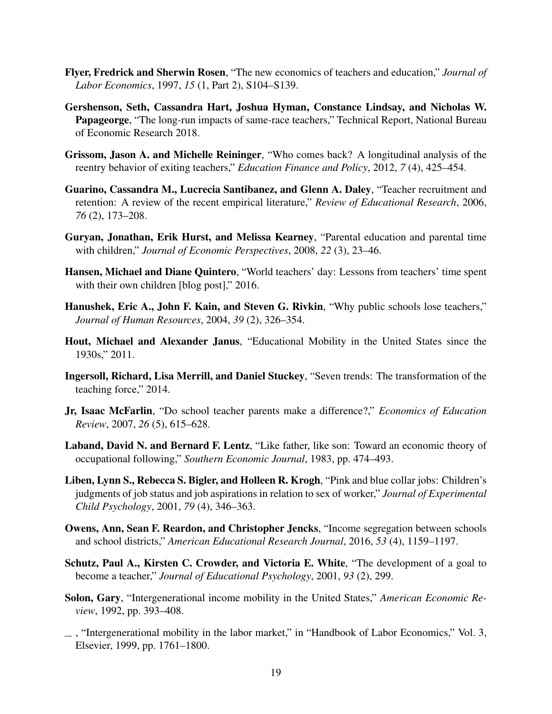- <span id="page-21-4"></span>Flyer, Fredrick and Sherwin Rosen, "The new economics of teachers and education," *Journal of Labor Economics*, 1997, *15* (1, Part 2), S104–S139.
- <span id="page-21-0"></span>Gershenson, Seth, Cassandra Hart, Joshua Hyman, Constance Lindsay, and Nicholas W. Papageorge, "The long-run impacts of same-race teachers," Technical Report, National Bureau of Economic Research 2018.
- <span id="page-21-5"></span>Grissom, Jason A. and Michelle Reininger, "Who comes back? A longitudinal analysis of the reentry behavior of exiting teachers," *Education Finance and Policy*, 2012, *7* (4), 425–454.
- <span id="page-21-1"></span>Guarino, Cassandra M., Lucrecia Santibanez, and Glenn A. Daley, "Teacher recruitment and retention: A review of the recent empirical literature," *Review of Educational Research*, 2006, *76* (2), 173–208.
- <span id="page-21-8"></span>Guryan, Jonathan, Erik Hurst, and Melissa Kearney, "Parental education and parental time with children," *Journal of Economic Perspectives*, 2008, *22* (3), 23–46.
- <span id="page-21-11"></span>Hansen, Michael and Diane Quintero, "World teachers' day: Lessons from teachers' time spent with their own children [blog post]," 2016.
- <span id="page-21-3"></span>Hanushek, Eric A., John F. Kain, and Steven G. Rivkin, "Why public schools lose teachers," *Journal of Human Resources*, 2004, *39* (2), 326–354.
- <span id="page-21-7"></span>Hout, Michael and Alexander Janus, "Educational Mobility in the United States since the 1930s," 2011.
- <span id="page-21-2"></span>Ingersoll, Richard, Lisa Merrill, and Daniel Stuckey, "Seven trends: The transformation of the teaching force," 2014.
- <span id="page-21-10"></span>Jr, Isaac McFarlin, "Do school teacher parents make a difference?," *Economics of Education Review*, 2007, *26* (5), 615–628.
- <span id="page-21-9"></span>Laband, David N. and Bernard F. Lentz, "Like father, like son: Toward an economic theory of occupational following," *Southern Economic Journal*, 1983, pp. 474–493.
- <span id="page-21-13"></span>Liben, Lynn S., Rebecca S. Bigler, and Holleen R. Krogh, "Pink and blue collar jobs: Children's judgments of job status and job aspirations in relation to sex of worker," *Journal of Experimental Child Psychology*, 2001, *79* (4), 346–363.
- <span id="page-21-14"></span>Owens, Ann, Sean F. Reardon, and Christopher Jencks, "Income segregation between schools and school districts," *American Educational Research Journal*, 2016, *53* (4), 1159–1197.
- <span id="page-21-15"></span>Schutz, Paul A., Kirsten C. Crowder, and Victoria E. White, "The development of a goal to become a teacher," *Journal of Educational Psychology*, 2001, *93* (2), 299.
- <span id="page-21-6"></span>Solon, Gary, "Intergenerational income mobility in the United States," *American Economic Review*, 1992, pp. 393–408.
- <span id="page-21-12"></span>, "Intergenerational mobility in the labor market," in "Handbook of Labor Economics," Vol. 3, Elsevier, 1999, pp. 1761–1800.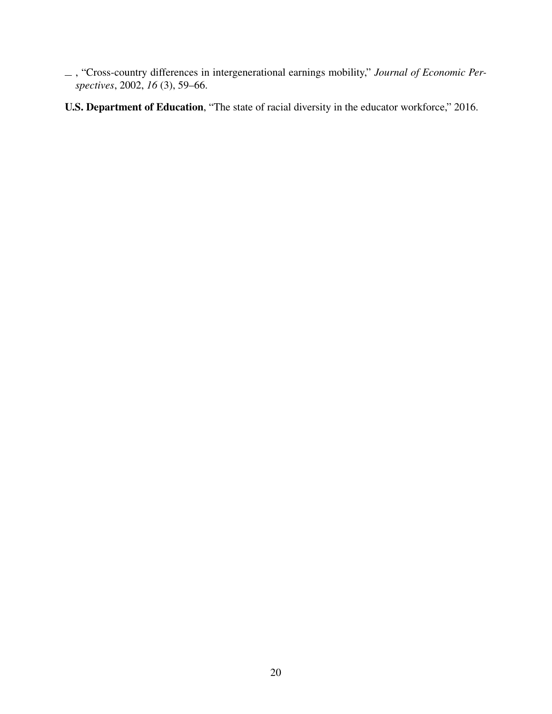<span id="page-22-1"></span>, "Cross-country differences in intergenerational earnings mobility," *Journal of Economic Perspectives*, 2002, *16* (3), 59–66.

<span id="page-22-0"></span>U.S. Department of Education, "The state of racial diversity in the educator workforce," 2016.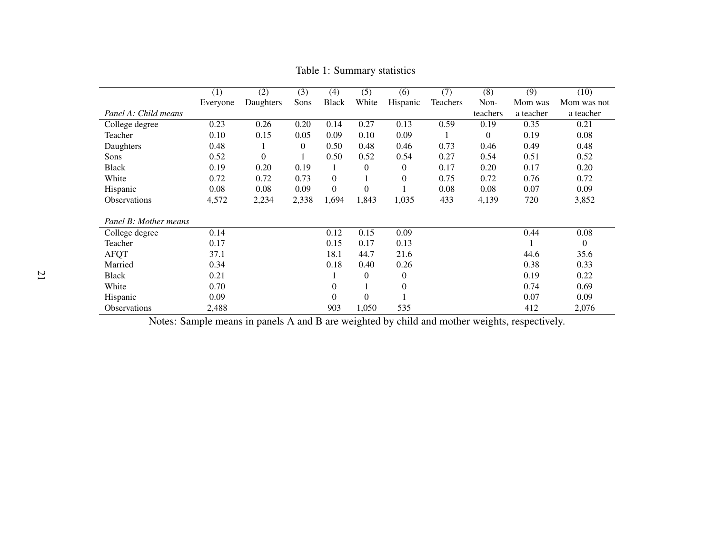|                       | (1)      | (2)       | (3)      | (4)          | (5)              | (6)              | (7)      | (8)              | (9)       | (10)           |
|-----------------------|----------|-----------|----------|--------------|------------------|------------------|----------|------------------|-----------|----------------|
|                       | Everyone | Daughters | Sons     | <b>Black</b> | White            | Hispanic         | Teachers | Non-             | Mom was   | Mom was not    |
| Panel A: Child means  |          |           |          |              |                  |                  |          | teachers         | a teacher | a teacher      |
| College degree        | 0.23     | 0.26      | 0.20     | 0.14         | 0.27             | 0.13             | 0.59     | 0.19             | 0.35      | 0.21           |
| Teacher               | 0.10     | 0.15      | 0.05     | 0.09         | 0.10             | 0.09             |          | $\boldsymbol{0}$ | 0.19      | 0.08           |
| Daughters             | 0.48     |           | $\theta$ | 0.50         | 0.48             | 0.46             | 0.73     | 0.46             | 0.49      | 0.48           |
| Sons                  | 0.52     | $\Omega$  |          | 0.50         | 0.52             | 0.54             | 0.27     | 0.54             | 0.51      | 0.52           |
| <b>Black</b>          | 0.19     | 0.20      | 0.19     |              | $\overline{0}$   | $\theta$         | 0.17     | 0.20             | 0.17      | 0.20           |
| White                 | 0.72     | 0.72      | 0.73     | $\mathbf{0}$ |                  | 0                | 0.75     | 0.72             | 0.76      | 0.72           |
| Hispanic              | 0.08     | 0.08      | 0.09     | $\theta$     | $\overline{0}$   |                  | 0.08     | 0.08             | 0.07      | 0.09           |
| <b>Observations</b>   | 4,572    | 2,234     | 2,338    | 1,694        | 1,843            | 1,035            | 433      | 4,139            | 720       | 3,852          |
|                       |          |           |          |              |                  |                  |          |                  |           |                |
| Panel B: Mother means |          |           |          |              |                  |                  |          |                  |           |                |
| College degree        | 0.14     |           |          | 0.12         | 0.15             | 0.09             |          |                  | 0.44      | 0.08           |
| Teacher               | 0.17     |           |          | 0.15         | 0.17             | 0.13             |          |                  |           | $\overline{0}$ |
| <b>AFQT</b>           | 37.1     |           |          | 18.1         | 44.7             | 21.6             |          |                  | 44.6      | 35.6           |
| Married               | 0.34     |           |          | 0.18         | 0.40             | 0.26             |          |                  | 0.38      | 0.33           |
| <b>Black</b>          | 0.21     |           |          |              | $\boldsymbol{0}$ | $\boldsymbol{0}$ |          |                  | 0.19      | 0.22           |
| White                 | 0.70     |           |          | $\theta$     |                  | 0                |          |                  | 0.74      | 0.69           |
| Hispanic              | 0.09     |           |          | $\theta$     | $\overline{0}$   |                  |          |                  | 0.07      | 0.09           |
| Observations          | 2,488    |           |          | 903          | 1,050            | 535              |          |                  | 412       | 2,076          |

Table 1: Summary statistics

<span id="page-23-0"></span>Notes: Sample means in panels A and B are weighted by child and mother weights, respectively.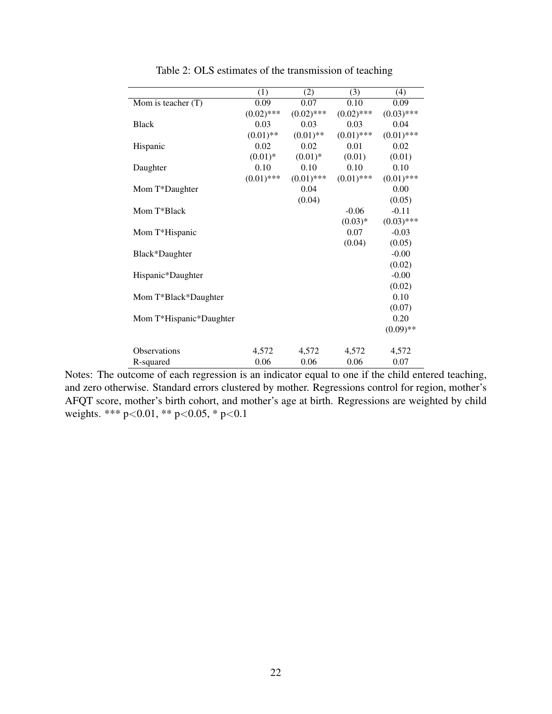<span id="page-24-0"></span>

|                         | (1)          | (2)          | (3)          | (4)          |
|-------------------------|--------------|--------------|--------------|--------------|
| Mom is teacher $(T)$    | 0.09         | 0.07         | 0.10         | 0.09         |
|                         | $(0.02)$ *** | $(0.02)$ *** | $(0.02)$ *** | $(0.03)$ *** |
| <b>Black</b>            | 0.03         | 0.03         | 0.03         | 0.04         |
|                         | $(0.01)$ **  | $(0.01)$ **  | $(0.01)$ *** | $(0.01)$ *** |
| Hispanic                | 0.02         | 0.02         | 0.01         | 0.02         |
|                         | $(0.01)$ *   | $(0.01)$ *   | (0.01)       | (0.01)       |
| Daughter                | 0.10         | 0.10         | 0.10         | 0.10         |
|                         | $(0.01)$ *** | $(0.01)$ *** | $(0.01)$ *** | $(0.01)$ *** |
| Mom T*Daughter          |              | 0.04         |              | 0.00         |
|                         |              | (0.04)       |              | (0.05)       |
| Mom T*Black             |              |              | $-0.06$      | $-0.11$      |
|                         |              |              | $(0.03)*$    | $(0.03)$ *** |
| Mom T*Hispanic          |              |              | 0.07         | $-0.03$      |
|                         |              |              | (0.04)       | (0.05)       |
| Black*Daughter          |              |              |              | $-0.00$      |
|                         |              |              |              | (0.02)       |
| Hispanic*Daughter       |              |              |              | $-0.00$      |
|                         |              |              |              | (0.02)       |
| Mom T*Black*Daughter    |              |              |              | 0.10         |
|                         |              |              |              | (0.07)       |
| Mom T*Hispanic*Daughter |              |              |              | 0.20         |
|                         |              |              |              | $(0.09)$ **  |
|                         |              |              |              |              |
| Observations            | 4,572        | 4,572        | 4,572        | 4,572        |
| R-squared               | 0.06         | 0.06         | 0.06         | 0.07         |

Table 2: OLS estimates of the transmission of teaching

Notes: The outcome of each regression is an indicator equal to one if the child entered teaching, and zero otherwise. Standard errors clustered by mother. Regressions control for region, mother's AFQT score, mother's birth cohort, and mother's age at birth. Regressions are weighted by child weights. \*\*\* p<0.01, \*\* p<0.05, \* p<0.1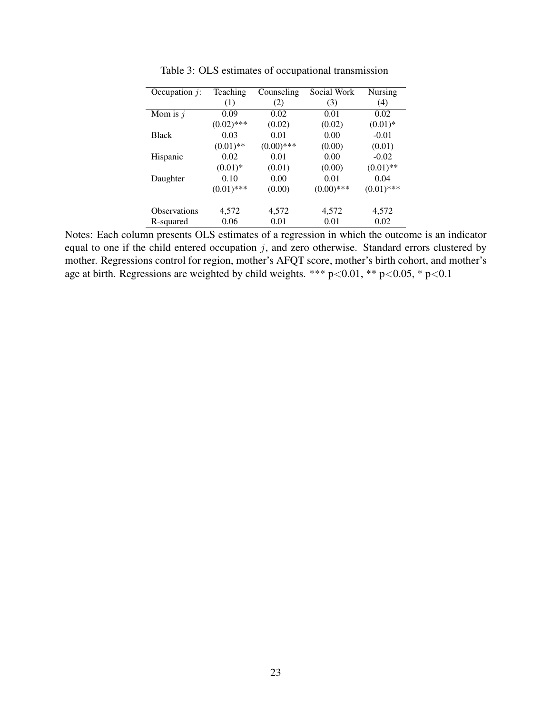<span id="page-25-0"></span>

| Occupation $j$ :    | Teaching     | Counseling   | Social Work  | Nursing      |
|---------------------|--------------|--------------|--------------|--------------|
|                     | (1)          | (2)          | (3)          | (4)          |
| Mom is $j$          | 0.09         | 0.02         | 0.01         | 0.02         |
|                     | $(0.02)$ *** | (0.02)       | (0.02)       | $(0.01)$ *   |
| <b>Black</b>        | 0.03         | 0.01         | 0.00         | $-0.01$      |
|                     | $(0.01)$ **  | $(0.00)$ *** | (0.00)       | (0.01)       |
| Hispanic            | 0.02         | 0.01         | 0.00         | $-0.02$      |
|                     | $(0.01)$ *   | (0.01)       | (0.00)       | $(0.01)$ **  |
| Daughter            | 0.10         | 0.00         | 0.01         | 0.04         |
|                     | $(0.01)$ *** | (0.00)       | $(0.00)$ *** | $(0.01)$ *** |
| <b>Observations</b> | 4,572        | 4,572        | 4,572        | 4,572        |
| R-squared           | 0.06         | 0.01         | 0.01         | 0.02         |

Table 3: OLS estimates of occupational transmission

Notes: Each column presents OLS estimates of a regression in which the outcome is an indicator equal to one if the child entered occupation  $j$ , and zero otherwise. Standard errors clustered by mother. Regressions control for region, mother's AFQT score, mother's birth cohort, and mother's age at birth. Regressions are weighted by child weights. \*\*\*  $p<0.01$ , \*\*  $p<0.05$ , \*  $p<0.1$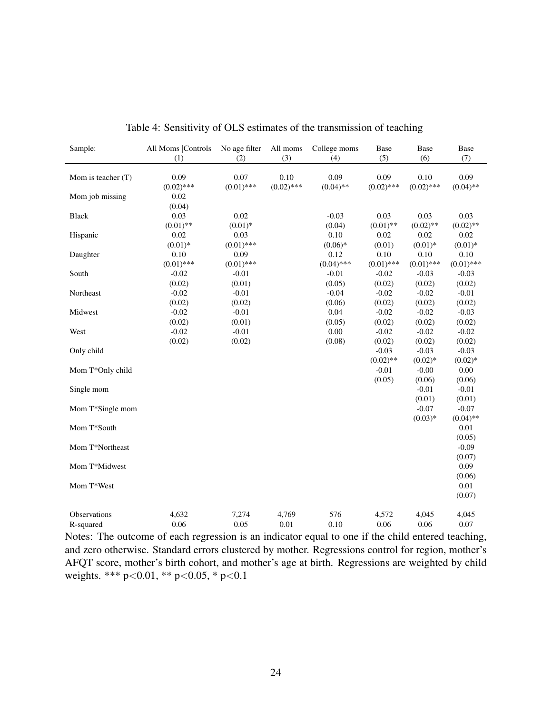<span id="page-26-0"></span>

| Sample:                   | <b>All Moms Controls</b><br>(1) | No age filter<br>(2)               | All moms<br>(3)      | College moms<br>(4)         | <b>Base</b><br>(5)     | <b>Base</b><br>(6)   | Base<br>(7)                       |
|---------------------------|---------------------------------|------------------------------------|----------------------|-----------------------------|------------------------|----------------------|-----------------------------------|
|                           |                                 |                                    |                      |                             |                        |                      |                                   |
| Mom is teacher (T)        | 0.09<br>$(0.02)$ ***            | 0.07<br>$(0.01)$ ***               | 0.10<br>$(0.02)$ *** | 0.09<br>$(0.04)$ **         | 0.09<br>$(0.02)$ ***   | 0.10<br>$(0.02)$ *** | 0.09<br>$(0.04)$ **               |
| Mom job missing           | 0.02<br>(0.04)                  |                                    |                      |                             |                        |                      |                                   |
| <b>Black</b>              | 0.03<br>$(0.01)$ **             | 0.02                               |                      | $-0.03$                     | 0.03<br>$(0.01)$ **    | 0.03<br>$(0.02)$ **  | 0.03                              |
| Hispanic                  | $0.02\,$<br>$(0.01)$ *          | $(0.01)$ *<br>0.03<br>$(0.01)$ *** |                      | (0.04)<br>0.10<br>$(0.06)*$ | 0.02<br>(0.01)         | 0.02<br>$(0.01)$ *   | $(0.02)$ **<br>0.02<br>$(0.01)$ * |
| Daughter                  | 0.10<br>$(0.01)$ ***            | 0.09<br>$(0.01)$ ***               |                      | 0.12<br>$(0.04)$ ***        | 0.10<br>$(0.01)$ ***   | 0.10<br>$(0.01)$ *** | 0.10<br>$(0.01)$ ***              |
| South                     | $-0.02$<br>(0.02)               | $-0.01$<br>(0.01)                  |                      | $-0.01$<br>(0.05)           | $-0.02$<br>(0.02)      | $-0.03$<br>(0.02)    | $-0.03$<br>(0.02)                 |
| Northeast                 | $-0.02$<br>(0.02)               | $-0.01$<br>(0.02)                  |                      | $-0.04$<br>(0.06)           | $-0.02$<br>(0.02)      | $-0.02$<br>(0.02)    | $-0.01$<br>(0.02)                 |
| Midwest                   | $-0.02$<br>(0.02)               | $-0.01$<br>(0.01)                  |                      | 0.04<br>(0.05)              | $-0.02$<br>(0.02)      | $-0.02$<br>(0.02)    | $-0.03$<br>(0.02)                 |
| West                      | $-0.02$<br>(0.02)               | $-0.01$<br>(0.02)                  |                      | 0.00<br>(0.08)              | $-0.02$<br>(0.02)      | $-0.02$<br>(0.02)    | $-0.02$<br>(0.02)                 |
| Only child                |                                 |                                    |                      |                             | $-0.03$<br>$(0.02)$ ** | $-0.03$<br>$(0.02)*$ | $-0.03$<br>$(0.02)*$              |
| Mom T*Only child          |                                 |                                    |                      |                             | $-0.01$<br>(0.05)      | $-0.00$<br>(0.06)    | 0.00<br>(0.06)                    |
| Single mom                |                                 |                                    |                      |                             |                        | $-0.01$<br>(0.01)    | $-0.01$<br>(0.01)                 |
| Mom T*Single mom          |                                 |                                    |                      |                             |                        | $-0.07$<br>$(0.03)*$ | $-0.07$<br>$(0.04)$ **            |
| Mom T*South               |                                 |                                    |                      |                             |                        |                      | 0.01<br>(0.05)                    |
| Mom T*Northeast           |                                 |                                    |                      |                             |                        |                      | $-0.09$<br>(0.07)                 |
| Mom T*Midwest             |                                 |                                    |                      |                             |                        |                      | 0.09                              |
| Mom T*West                |                                 |                                    |                      |                             |                        |                      | (0.06)<br>0.01<br>(0.07)          |
| Observations<br>R-squared | 4,632<br>0.06                   | 7,274<br>0.05                      | 4,769<br>0.01        | 576<br>0.10                 | 4,572<br>0.06          | 4,045<br>0.06        | 4,045<br>0.07                     |

Table 4: Sensitivity of OLS estimates of the transmission of teaching

Notes: The outcome of each regression is an indicator equal to one if the child entered teaching, and zero otherwise. Standard errors clustered by mother. Regressions control for region, mother's AFQT score, mother's birth cohort, and mother's age at birth. Regressions are weighted by child weights. \*\*\* p<0.01, \*\* p<0.05, \* p<0.1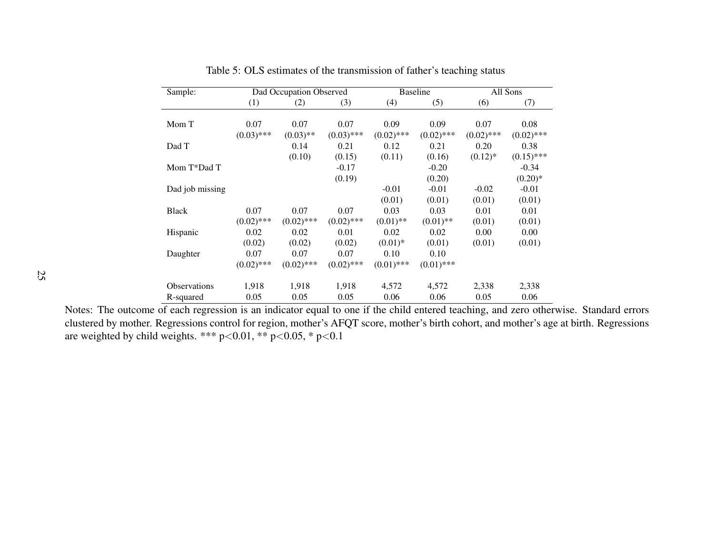| Sample:             |              | Dad Occupation Observed |              |              | <b>Baseline</b> | All Sons     |              |
|---------------------|--------------|-------------------------|--------------|--------------|-----------------|--------------|--------------|
|                     | (1)          | (2)                     | (3)          | (4)          | (5)             | (6)          | (7)          |
|                     |              |                         |              |              |                 |              |              |
| Mom T               | 0.07         | 0.07                    | 0.07         | 0.09         | 0.09            | 0.07         | 0.08         |
|                     | $(0.03)$ *** | $(0.03)$ **             | $(0.03)$ *** | $(0.02)$ *** | $(0.02)$ ***    | $(0.02)$ *** | $(0.02)$ *** |
| Dad T               |              | 0.14                    | 0.21         | 0.12         | 0.21            | 0.20         | 0.38         |
|                     |              | (0.10)                  | (0.15)       | (0.11)       | (0.16)          | $(0.12)^*$   | $(0.15)$ *** |
| Mom T*Dad T         |              |                         | $-0.17$      |              | $-0.20$         |              | $-0.34$      |
|                     |              |                         | (0.19)       |              | (0.20)          |              | $(0.20)*$    |
| Dad job missing     |              |                         |              | $-0.01$      | $-0.01$         | $-0.02$      | $-0.01$      |
|                     |              |                         |              | (0.01)       | (0.01)          | (0.01)       | (0.01)       |
| <b>Black</b>        | 0.07         | 0.07                    | 0.07         | 0.03         | 0.03            | 0.01         | 0.01         |
|                     | $(0.02)$ *** | $(0.02)$ ***            | $(0.02)$ *** | $(0.01)$ **  | $(0.01)$ **     | (0.01)       | (0.01)       |
| Hispanic            | 0.02         | 0.02                    | 0.01         | 0.02         | 0.02            | 0.00         | 0.00         |
|                     | (0.02)       | (0.02)                  | (0.02)       | $(0.01)$ *   | (0.01)          | (0.01)       | (0.01)       |
| Daughter            | 0.07         | 0.07                    | 0.07         | 0.10         | 0.10            |              |              |
|                     | $(0.02)$ *** | $(0.02)$ ***            | $(0.02)$ *** | $(0.01)$ *** | $(0.01)$ ***    |              |              |
| <b>Observations</b> | 1,918        | 1,918                   | 1,918        | 4,572        | 4,572           | 2,338        | 2,338        |
| R-squared           | 0.05         | 0.05                    | 0.05         | 0.06         | 0.06            | 0.05         | 0.06         |

Table 5: OLS estimates of the transmission of father's teaching status

<span id="page-27-0"></span> Notes: The outcome of each regression is an indicator equal to one if the child entered teaching, and zero otherwise. Standard errors clustered by mother. Regressions control for region, mother's AFQT score, mother's birth cohort, and mother's age at birth. Regressionsare weighted by child weights. \*\*\*  $p<0.01$ , \*\*  $p<0.05$ , \*  $p<0.1$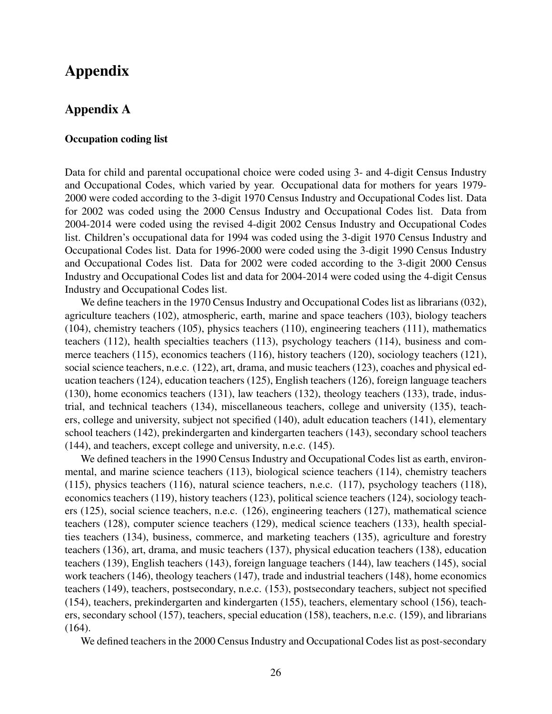## Appendix

## <span id="page-28-0"></span>Appendix A

#### Occupation coding list

Data for child and parental occupational choice were coded using 3- and 4-digit Census Industry and Occupational Codes, which varied by year. Occupational data for mothers for years 1979- 2000 were coded according to the 3-digit 1970 Census Industry and Occupational Codes list. Data for 2002 was coded using the 2000 Census Industry and Occupational Codes list. Data from 2004-2014 were coded using the revised 4-digit 2002 Census Industry and Occupational Codes list. Children's occupational data for 1994 was coded using the 3-digit 1970 Census Industry and Occupational Codes list. Data for 1996-2000 were coded using the 3-digit 1990 Census Industry and Occupational Codes list. Data for 2002 were coded according to the 3-digit 2000 Census Industry and Occupational Codes list and data for 2004-2014 were coded using the 4-digit Census Industry and Occupational Codes list.

We define teachers in the 1970 Census Industry and Occupational Codes list as librarians (032), agriculture teachers (102), atmospheric, earth, marine and space teachers (103), biology teachers (104), chemistry teachers (105), physics teachers (110), engineering teachers (111), mathematics teachers (112), health specialties teachers (113), psychology teachers (114), business and commerce teachers (115), economics teachers (116), history teachers (120), sociology teachers (121), social science teachers, n.e.c. (122), art, drama, and music teachers (123), coaches and physical education teachers (124), education teachers (125), English teachers (126), foreign language teachers (130), home economics teachers (131), law teachers (132), theology teachers (133), trade, industrial, and technical teachers (134), miscellaneous teachers, college and university (135), teachers, college and university, subject not specified (140), adult education teachers (141), elementary school teachers (142), prekindergarten and kindergarten teachers (143), secondary school teachers (144), and teachers, except college and university, n.e.c. (145).

We defined teachers in the 1990 Census Industry and Occupational Codes list as earth, environmental, and marine science teachers (113), biological science teachers (114), chemistry teachers (115), physics teachers (116), natural science teachers, n.e.c. (117), psychology teachers (118), economics teachers (119), history teachers (123), political science teachers (124), sociology teachers (125), social science teachers, n.e.c. (126), engineering teachers (127), mathematical science teachers (128), computer science teachers (129), medical science teachers (133), health specialties teachers (134), business, commerce, and marketing teachers (135), agriculture and forestry teachers (136), art, drama, and music teachers (137), physical education teachers (138), education teachers (139), English teachers (143), foreign language teachers (144), law teachers (145), social work teachers (146), theology teachers (147), trade and industrial teachers (148), home economics teachers (149), teachers, postsecondary, n.e.c. (153), postsecondary teachers, subject not specified (154), teachers, prekindergarten and kindergarten (155), teachers, elementary school (156), teachers, secondary school (157), teachers, special education (158), teachers, n.e.c. (159), and librarians (164).

We defined teachers in the 2000 Census Industry and Occupational Codes list as post-secondary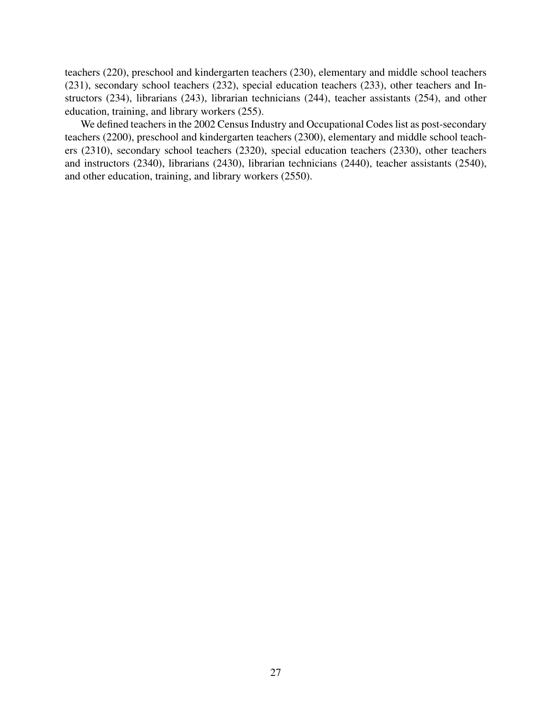teachers (220), preschool and kindergarten teachers (230), elementary and middle school teachers (231), secondary school teachers (232), special education teachers (233), other teachers and Instructors (234), librarians (243), librarian technicians (244), teacher assistants (254), and other education, training, and library workers (255).

We defined teachers in the 2002 Census Industry and Occupational Codes list as post-secondary teachers (2200), preschool and kindergarten teachers (2300), elementary and middle school teachers (2310), secondary school teachers (2320), special education teachers (2330), other teachers and instructors (2340), librarians (2430), librarian technicians (2440), teacher assistants (2540), and other education, training, and library workers (2550).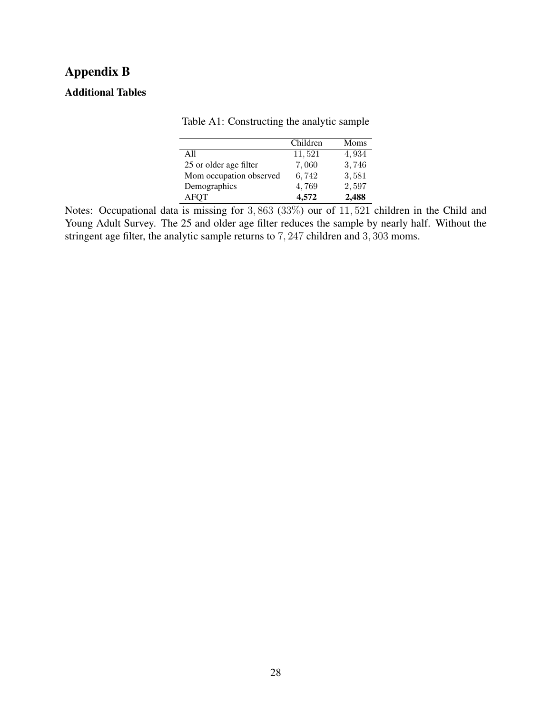## Appendix B

### <span id="page-30-0"></span>Additional Tables

| raore Terr. Constructing the analytic sample |          |       |
|----------------------------------------------|----------|-------|
|                                              | Children | Moms  |
| A11                                          | 11,521   | 4,934 |
| 25 or older age filter                       | 7,060    | 3,746 |
| Mom occupation observed                      | 6,742    | 3,581 |
| Demographics                                 | 4,769    | 2,597 |
| <b>AFOT</b>                                  | 4,572    | 2,488 |

Table A1: Constructing the analytic sample

Notes: Occupational data is missing for  $3,863$  ( $33\%$ ) our of  $11,521$  children in the Child and Young Adult Survey. The 25 and older age filter reduces the sample by nearly half. Without the stringent age filter, the analytic sample returns to 7, 247 children and 3, 303 moms.